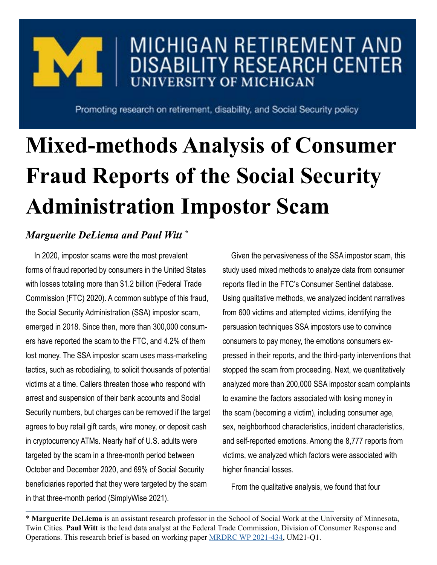# MICHIGAN RETIREMENT AND **DISABILITY RESEARCH CENTER UNIVERSITY OF MICHIGAN**

Promoting research on retirement, disability, and Social Security policy

# **Mixed-methods Analysis of Consumer Fraud Reports of the Social Security Administration Impostor Scam**

## *Marguerite DeLiema and Paul Witt \**

In 2020, impostor scams were the most prevalent forms of fraud reported by consumers in the United States with losses totaling more than \$1.2 billion (Federal Trade Commission (FTC) 2020). A common subtype of this fraud, the Social Security Administration (SSA) impostor scam, emerged in 2018. Since then, more than 300,000 consumers have reported the scam to the FTC, and 4.2% of them lost money. The SSA impostor scam uses mass-marketing tactics, such as robodialing, to solicit thousands of potential victims at a time. Callers threaten those who respond with arrest and suspension of their bank accounts and Social Security numbers, but charges can be removed if the target agrees to buy retail gift cards, wire money, or deposit cash in cryptocurrency ATMs. Nearly half of U.S. adults were targeted by the scam in a three-month period between October and December 2020, and 69% of Social Security beneficiaries reported that they were targeted by the scam in that three-month period (SimplyWise 2021).

Given the pervasiveness of the SSA impostor scam, this study used mixed methods to analyze data from consumer reports filed in the FTC's Consumer Sentinel database. Using qualitative methods, we analyzed incident narratives from 600 victims and attempted victims, identifying the persuasion techniques SSA impostors use to convince consumers to pay money, the emotions consumers expressed in their reports, and the third-party interventions that stopped the scam from proceeding. Next, we quantitatively analyzed more than 200,000 SSA impostor scam complaints to examine the factors associated with losing money in the scam (becoming a victim), including consumer age, sex, neighborhood characteristics, incident characteristics, and self-reported emotions. Among the 8,777 reports from victims, we analyzed which factors were associated with higher financial losses.

From the qualitative analysis, we found that four

\* **Marguerite DeLiema** is an assistant research professor in the School of Social Work at the University of Minnesota, Twin Cities. **Paul Witt** is the lead data analyst at the Federal Trade Commission, Division of Consumer Response and Operations. This research brief is based on working paper [MRDRC WP 2021-434](https://mrdrc.isr.umich.edu/pubs/mixed-methods-analysis-of-consumer-fraud-reports-of-the-social-security-administration-impostor-scam/), UM21-Q1.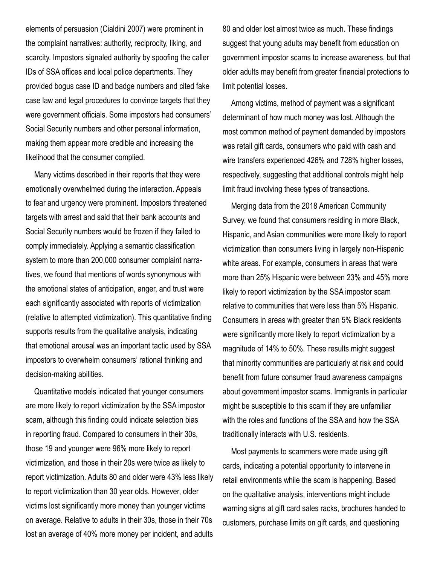elements of persuasion (Cialdini 2007) were prominent in the complaint narratives: authority, reciprocity, liking, and scarcity. Impostors signaled authority by spoofing the caller IDs of SSA offices and local police departments. They provided bogus case ID and badge numbers and cited fake case law and legal procedures to convince targets that they were government officials. Some impostors had consumers' Social Security numbers and other personal information, making them appear more credible and increasing the likelihood that the consumer complied.

Many victims described in their reports that they were emotionally overwhelmed during the interaction. Appeals to fear and urgency were prominent. Impostors threatened targets with arrest and said that their bank accounts and Social Security numbers would be frozen if they failed to comply immediately. Applying a semantic classification system to more than 200,000 consumer complaint narratives, we found that mentions of words synonymous with the emotional states of anticipation, anger, and trust were each significantly associated with reports of victimization (relative to attempted victimization). This quantitative finding supports results from the qualitative analysis, indicating that emotional arousal was an important tactic used by SSA impostors to overwhelm consumers' rational thinking and decision-making abilities.

Quantitative models indicated that younger consumers are more likely to report victimization by the SSA impostor scam, although this finding could indicate selection bias in reporting fraud. Compared to consumers in their 30s, those 19 and younger were 96% more likely to report victimization, and those in their 20s were twice as likely to report victimization. Adults 80 and older were 43% less likely to report victimization than 30 year olds. However, older victims lost significantly more money than younger victims on average. Relative to adults in their 30s, those in their 70s lost an average of 40% more money per incident, and adults 80 and older lost almost twice as much. These findings suggest that young adults may benefit from education on government impostor scams to increase awareness, but that older adults may benefit from greater financial protections to limit potential losses.

Among victims, method of payment was a significant determinant of how much money was lost. Although the most common method of payment demanded by impostors was retail gift cards, consumers who paid with cash and wire transfers experienced 426% and 728% higher losses, respectively, suggesting that additional controls might help limit fraud involving these types of transactions.

Merging data from the 2018 American Community Survey, we found that consumers residing in more Black, Hispanic, and Asian communities were more likely to report victimization than consumers living in largely non-Hispanic white areas. For example, consumers in areas that were more than 25% Hispanic were between 23% and 45% more likely to report victimization by the SSA impostor scam relative to communities that were less than 5% Hispanic. Consumers in areas with greater than 5% Black residents were significantly more likely to report victimization by a magnitude of 14% to 50%. These results might suggest that minority communities are particularly at risk and could benefit from future consumer fraud awareness campaigns about government impostor scams. Immigrants in particular might be susceptible to this scam if they are unfamiliar with the roles and functions of the SSA and how the SSA traditionally interacts with U.S. residents.

Most payments to scammers were made using gift cards, indicating a potential opportunity to intervene in retail environments while the scam is happening. Based on the qualitative analysis, interventions might include warning signs at gift card sales racks, brochures handed to customers, purchase limits on gift cards, and questioning